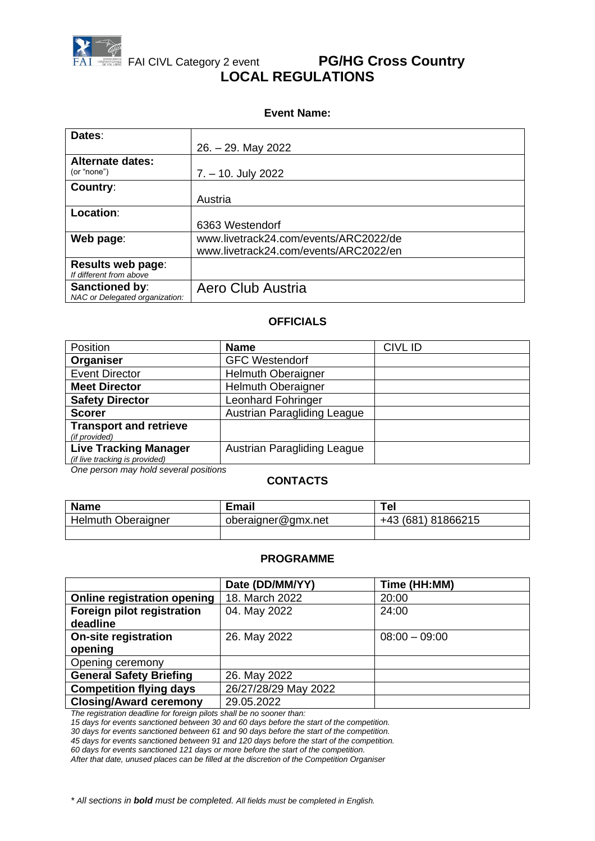

### **Event Name:**

| Dates:                         |                                       |
|--------------------------------|---------------------------------------|
|                                | $26. - 29.$ May 2022                  |
| <b>Alternate dates:</b>        |                                       |
| (or "none")                    | $7. - 10.$ July 2022                  |
| Country:                       |                                       |
|                                | Austria                               |
| Location:                      |                                       |
|                                | 6363 Westendorf                       |
| Web page:                      | www.livetrack24.com/events/ARC2022/de |
|                                | www.livetrack24.com/events/ARC2022/en |
| <b>Results web page:</b>       |                                       |
| If different from above        |                                       |
| Sanctioned by:                 | Aero Club Austria                     |
| NAC or Delegated organization: |                                       |

### **OFFICIALS**

| Position                                                       | <b>Name</b>                        | <b>CIVL ID</b> |
|----------------------------------------------------------------|------------------------------------|----------------|
| Organiser                                                      | <b>GFC Westendorf</b>              |                |
| <b>Event Director</b>                                          | <b>Helmuth Oberaigner</b>          |                |
| <b>Meet Director</b>                                           | <b>Helmuth Oberaigner</b>          |                |
| <b>Safety Director</b>                                         | <b>Leonhard Fohringer</b>          |                |
| <b>Scorer</b>                                                  | <b>Austrian Paragliding League</b> |                |
| <b>Transport and retrieve</b><br>(if provided)                 |                                    |                |
| <b>Live Tracking Manager</b><br>(if live tracking is provided) | Austrian Paragliding League        |                |

*One person may hold several positions*

### **CONTACTS**

| <b>Name</b>        | <b>Email</b>       | Tel                |
|--------------------|--------------------|--------------------|
| Helmuth Oberaigner | oberaigner@gmx.net | +43 (681) 81866215 |
|                    |                    |                    |

#### **PROGRAMME**

|                                    | Date (DD/MM/YY)      | Time (HH:MM)    |
|------------------------------------|----------------------|-----------------|
| <b>Online registration opening</b> | 18. March 2022       | 20:00           |
| Foreign pilot registration         | 04. May 2022         | 24:00           |
| deadline                           |                      |                 |
| <b>On-site registration</b>        | 26. May 2022         | $08:00 - 09:00$ |
| opening                            |                      |                 |
| Opening ceremony                   |                      |                 |
| <b>General Safety Briefing</b>     | 26. May 2022         |                 |
| <b>Competition flying days</b>     | 26/27/28/29 May 2022 |                 |
| <b>Closing/Award ceremony</b>      | 29.05.2022           |                 |

*The registration deadline for foreign pilots shall be no sooner than:*

*15 days for events sanctioned between 30 and 60 days before the start of the competition.*

*30 days for events sanctioned between 61 and 90 days before the start of the competition.*

*45 days for events sanctioned between 91 and 120 days before the start of the competition.*

*60 days for events sanctioned 121 days or more before the start of the competition.*

*After that date, unused places can be filled at the discretion of the Competition Organiser*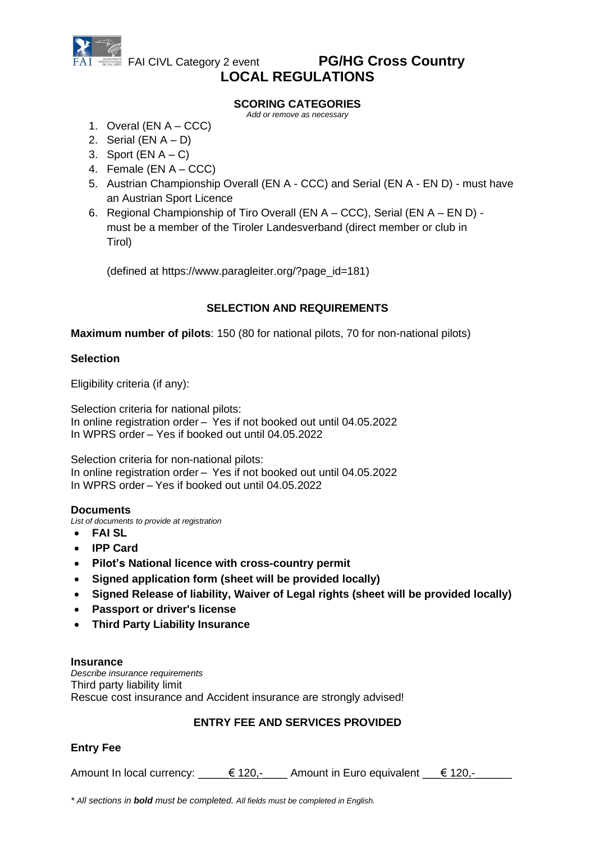

### **SCORING CATEGORIES**

*Add or remove as necessary*

- 1. Overal (EN A CCC)
- 2. Serial  $(EN A D)$
- 3. Sport  $(EN A C)$
- 4. Female (EN A CCC)
- 5. Austrian Championship Overall (EN A CCC) and Serial (EN A EN D) must have an Austrian Sport Licence
- 6. Regional Championship of Tiro Overall (EN A CCC), Serial (EN A EN D) must be a member of the Tiroler Landesverband (direct member or club in Tirol)

(defined at https://www.paragleiter.org/?page\_id=181)

## **SELECTION AND REQUIREMENTS**

**Maximum number of pilots**: 150 (80 for national pilots, 70 for non-national pilots)

## **Selection**

Eligibility criteria (if any):

Selection criteria for national pilots: In online registration order – Yes if not booked out until 04.05.2022 In WPRS order – Yes if booked out until 04.05.2022

Selection criteria for non-national pilots: In online registration order – Yes if not booked out until 04.05.2022 In WPRS order – Yes if booked out until 04.05.2022

### **Documents**

*List of documents to provide at registration*

- **FAI SL**
- **IPP Card**
- **Pilot's National licence with cross-country permit**
- **Signed application form (sheet will be provided locally)**
- **Signed Release of liability, Waiver of Legal rights (sheet will be provided locally)**
- **Passport or driver's license**
- **Third Party Liability Insurance**

### **Insurance**

*Describe insurance requirements* Third party liability limit Rescue cost insurance and Accident insurance are strongly advised!

## **ENTRY FEE AND SERVICES PROVIDED**

## **Entry Fee**

Amount In local currency:  $\epsilon$  120,- Amount in Euro equivalent  $\epsilon$  120,-

*\* All sections in bold must be completed. All fields must be completed in English.*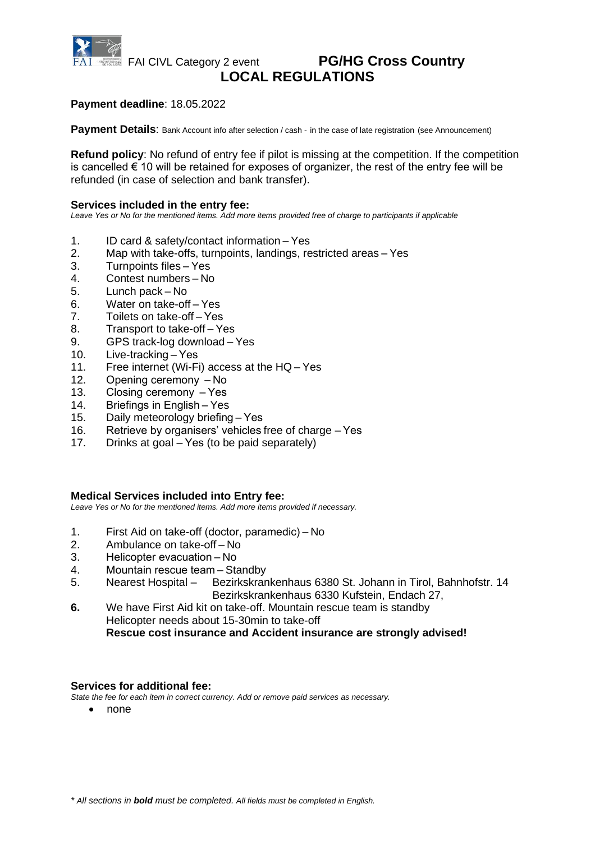

## **Payment deadline**: 18.05.2022

**Payment Details:** Bank Account info after selection / cash - in the case of late registration (see Announcement)

**Refund policy**: No refund of entry fee if pilot is missing at the competition. If the competition is cancelled  $\epsilon$  10 will be retained for exposes of organizer, the rest of the entry fee will be refunded (in case of selection and bank transfer).

### **Services included in the entry fee:**

*Leave Yes or No for the mentioned items. Add more items provided free of charge to participants if applicable*

- 1. ID card & safety/contact information Yes
- 2. Map with take-offs, turnpoints, landings, restricted areas Yes
- 3. Turnpoints files Yes
- 4. Contest numbers No
- 5. Lunch pack No
- 6. Water on take-off Yes
- 7. Toilets on take-off – Yes
- 8. Transport to take-off Yes
- 9. GPS track-log download Yes<br>10. Live-tracking Yes
- Live-tracking Yes
- 11. Free internet (Wi-Fi) access at the HQ Yes
- 12. Opening ceremony  $-$ **No**
- 13. Closing ceremony  $-$  Yes
- 14. Briefings in English – Yes
- 15. Daily meteorology briefing – Yes
- 16. Retrieve by organisers' vehicles free of charge – Yes
- 17. Drinks at goal – Yes (to be paid separately)

### **Medical Services included into Entry fee:**

*Leave Yes or No for the mentioned items. Add more items provided if necessary.*

- 1. First Aid on take-off (doctor, paramedic) – No
- 2. Ambulance on take-off – No
- 3. Helicopter evacuation – No
- 
- 4. Mountain rescue team Standby<br>5. Nearest Hospital Bezirkskran 5. Nearest Hospital – Bezirkskrankenhaus 6380 St. Johann in Tirol, Bahnhofstr. 14 Bezirkskrankenhaus 6330 Kufstein, Endach 27,
- **6.** We have First Aid kit on take-off. Mountain rescue team is standby Helicopter needs about 15-30min to take-off **Rescue cost insurance and Accident insurance are strongly advised!**

### **Services for additional fee:**

*State the fee for each item in correct currency. Add or remove paid services as necessary.*

• none